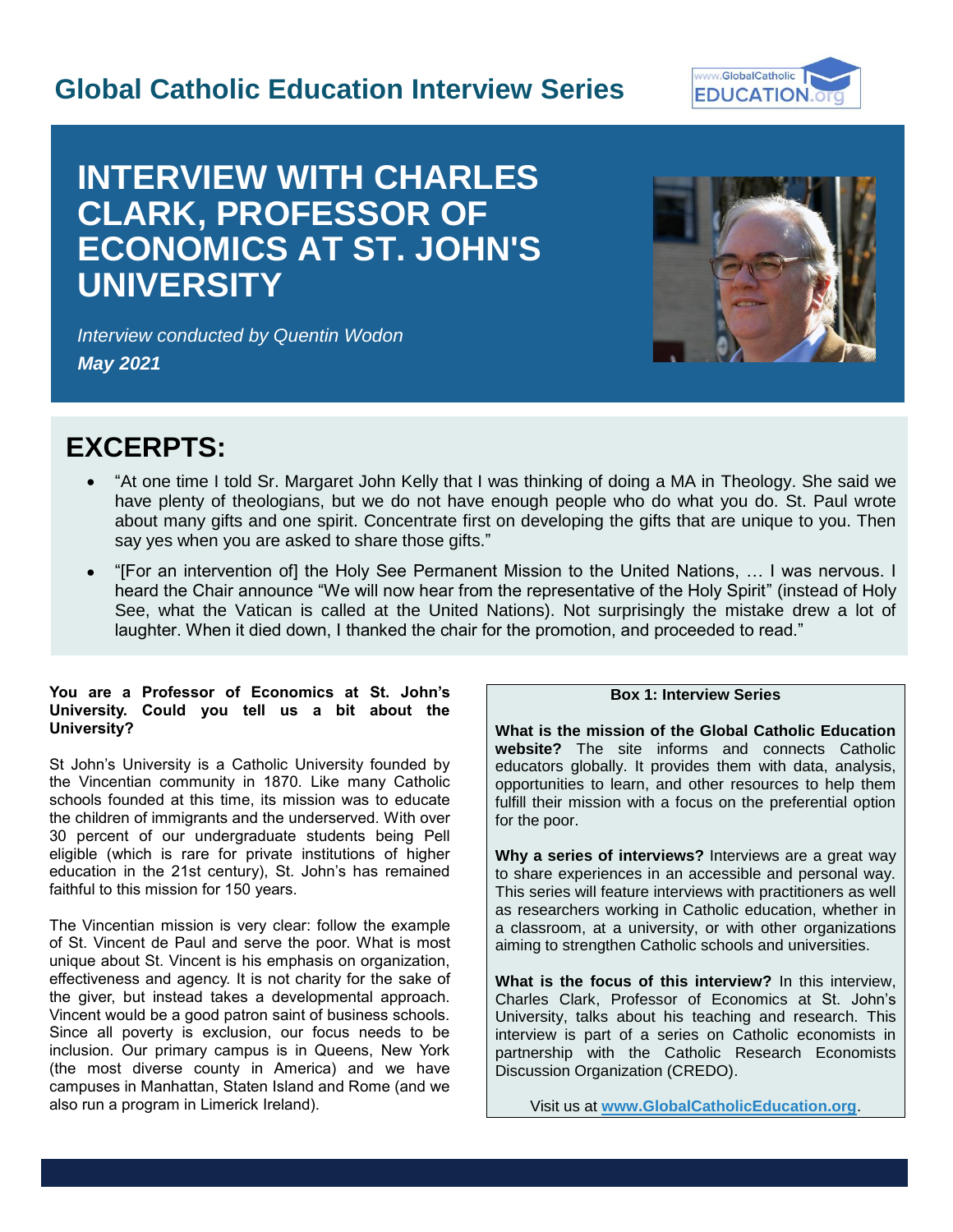## **Global Catholic Education Interview Series**



# **INTERVIEW WITH CHARLES CLARK, PROFESSOR OF ECONOMICS AT ST. JOHN'S UNIVERSITY**



*Interview conducted by Quentin Wodon May 2021*

## **EXCERPTS:**

- "At one time I told Sr. Margaret John Kelly that I was thinking of doing a MA in Theology. She said we have plenty of theologians, but we do not have enough people who do what you do. St. Paul wrote about many gifts and one spirit. Concentrate first on developing the gifts that are unique to you. Then say yes when you are asked to share those gifts."
- "[For an intervention of] the Holy See Permanent Mission to the United Nations, … I was nervous. I heard the Chair announce "We will now hear from the representative of the Holy Spirit" (instead of Holy See, what the Vatican is called at the United Nations). Not surprisingly the mistake drew a lot of laughter. When it died down, I thanked the chair for the promotion, and proceeded to read."

#### **You are a Professor of Economics at St. John's University. Could you tell us a bit about the University?**

St John's University is a Catholic University founded by the Vincentian community in 1870. Like many Catholic schools founded at this time, its mission was to educate the children of immigrants and the underserved. With over 30 percent of our undergraduate students being Pell eligible (which is rare for private institutions of higher education in the 21st century), St. John's has remained faithful to this mission for 150 years.

The Vincentian mission is very clear: follow the example of St. Vincent de Paul and serve the poor. What is most unique about St. Vincent is his emphasis on organization, effectiveness and agency. It is not charity for the sake of the giver, but instead takes a developmental approach. Vincent would be a good patron saint of business schools. Since all poverty is exclusion, our focus needs to be inclusion. Our primary campus is in Queens, New York (the most diverse county in America) and we have campuses in Manhattan, Staten Island and Rome (and we also run a program in Limerick Ireland).

### **Box 1: Interview Series**

**What is the mission of the Global Catholic Education website?** The site informs and connects Catholic educators globally. It provides them with data, analysis, opportunities to learn, and other resources to help them fulfill their mission with a focus on the preferential option for the poor.

**Why a series of interviews?** Interviews are a great way to share experiences in an accessible and personal way. This series will feature interviews with practitioners as well as researchers working in Catholic education, whether in a classroom, at a university, or with other organizations aiming to strengthen Catholic schools and universities.

**What is the focus of this interview?** In this interview, Charles Clark, Professor of Economics at St. John's University, talks about his teaching and research. This interview is part of a series on Catholic economists in partnership with the Catholic Research Economists Discussion Organization (CREDO).

Visit us at **[www.GlobalCatholicEducation.org](http://www.globalcatholiceducation.org/)**.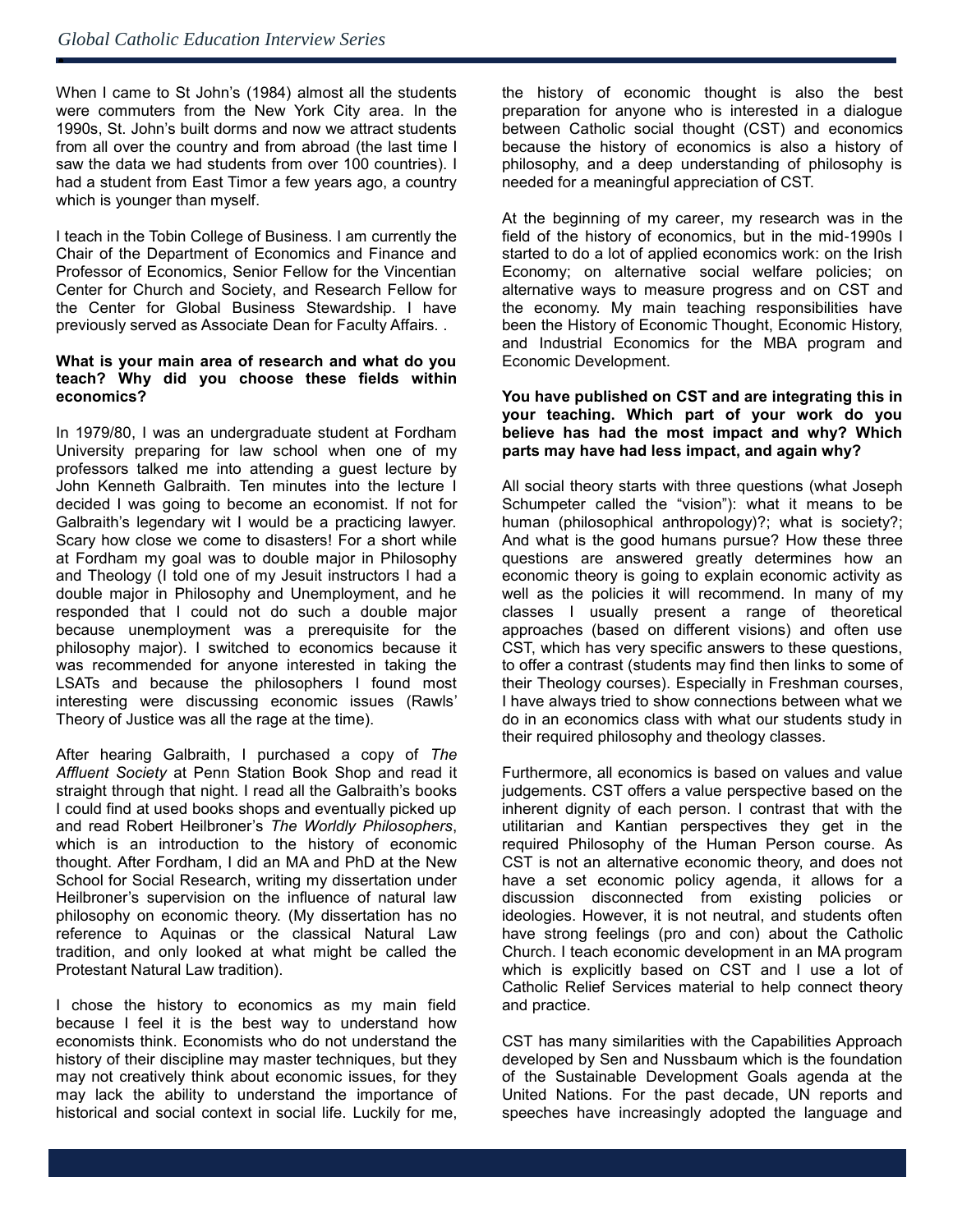ė

When I came to St John's (1984) almost all the students were commuters from the New York City area. In the 1990s, St. John's built dorms and now we attract students from all over the country and from abroad (the last time I saw the data we had students from over 100 countries). I had a student from East Timor a few years ago, a country which is younger than myself.

I teach in the Tobin College of Business. I am currently the Chair of the Department of Economics and Finance and Professor of Economics, Senior Fellow for the Vincentian Center for Church and Society, and Research Fellow for the Center for Global Business Stewardship. I have previously served as Associate Dean for Faculty Affairs. .

#### **What is your main area of research and what do you teach? Why did you choose these fields within economics?**

In 1979/80, I was an undergraduate student at Fordham University preparing for law school when one of my professors talked me into attending a guest lecture by John Kenneth Galbraith. Ten minutes into the lecture I decided I was going to become an economist. If not for Galbraith's legendary wit I would be a practicing lawyer. Scary how close we come to disasters! For a short while at Fordham my goal was to double major in Philosophy and Theology (I told one of my Jesuit instructors I had a double major in Philosophy and Unemployment, and he responded that I could not do such a double major because unemployment was a prerequisite for the philosophy major). I switched to economics because it was recommended for anyone interested in taking the LSATs and because the philosophers I found most interesting were discussing economic issues (Rawls' Theory of Justice was all the rage at the time).

After hearing Galbraith, I purchased a copy of *The Affluent Society* at Penn Station Book Shop and read it straight through that night. I read all the Galbraith's books I could find at used books shops and eventually picked up and read Robert Heilbroner's *The Worldly Philosophers*, which is an introduction to the history of economic thought. After Fordham, I did an MA and PhD at the New School for Social Research, writing my dissertation under Heilbroner's supervision on the influence of natural law philosophy on economic theory. (My dissertation has no reference to Aquinas or the classical Natural Law tradition, and only looked at what might be called the Protestant Natural Law tradition).

I chose the history to economics as my main field because I feel it is the best way to understand how economists think. Economists who do not understand the history of their discipline may master techniques, but they may not creatively think about economic issues, for they may lack the ability to understand the importance of historical and social context in social life. Luckily for me, the history of economic thought is also the best preparation for anyone who is interested in a dialogue between Catholic social thought (CST) and economics because the history of economics is also a history of philosophy, and a deep understanding of philosophy is needed for a meaningful appreciation of CST.

At the beginning of my career, my research was in the field of the history of economics, but in the mid-1990s I started to do a lot of applied economics work: on the Irish Economy; on alternative social welfare policies; on alternative ways to measure progress and on CST and the economy. My main teaching responsibilities have been the History of Economic Thought, Economic History, and Industrial Economics for the MBA program and Economic Development.

#### **You have published on CST and are integrating this in your teaching. Which part of your work do you believe has had the most impact and why? Which parts may have had less impact, and again why?**

All social theory starts with three questions (what Joseph Schumpeter called the "vision"): what it means to be human (philosophical anthropology)?; what is society?; And what is the good humans pursue? How these three questions are answered greatly determines how an economic theory is going to explain economic activity as well as the policies it will recommend. In many of my classes I usually present a range of theoretical approaches (based on different visions) and often use CST, which has very specific answers to these questions, to offer a contrast (students may find then links to some of their Theology courses). Especially in Freshman courses, I have always tried to show connections between what we do in an economics class with what our students study in their required philosophy and theology classes.

Furthermore, all economics is based on values and value judgements. CST offers a value perspective based on the inherent dignity of each person. I contrast that with the utilitarian and Kantian perspectives they get in the required Philosophy of the Human Person course. As CST is not an alternative economic theory, and does not have a set economic policy agenda, it allows for a discussion disconnected from existing policies or ideologies. However, it is not neutral, and students often have strong feelings (pro and con) about the Catholic Church. I teach economic development in an MA program which is explicitly based on CST and I use a lot of Catholic Relief Services material to help connect theory and practice.

CST has many similarities with the Capabilities Approach developed by Sen and Nussbaum which is the foundation of the Sustainable Development Goals agenda at the United Nations. For the past decade, UN reports and speeches have increasingly adopted the language and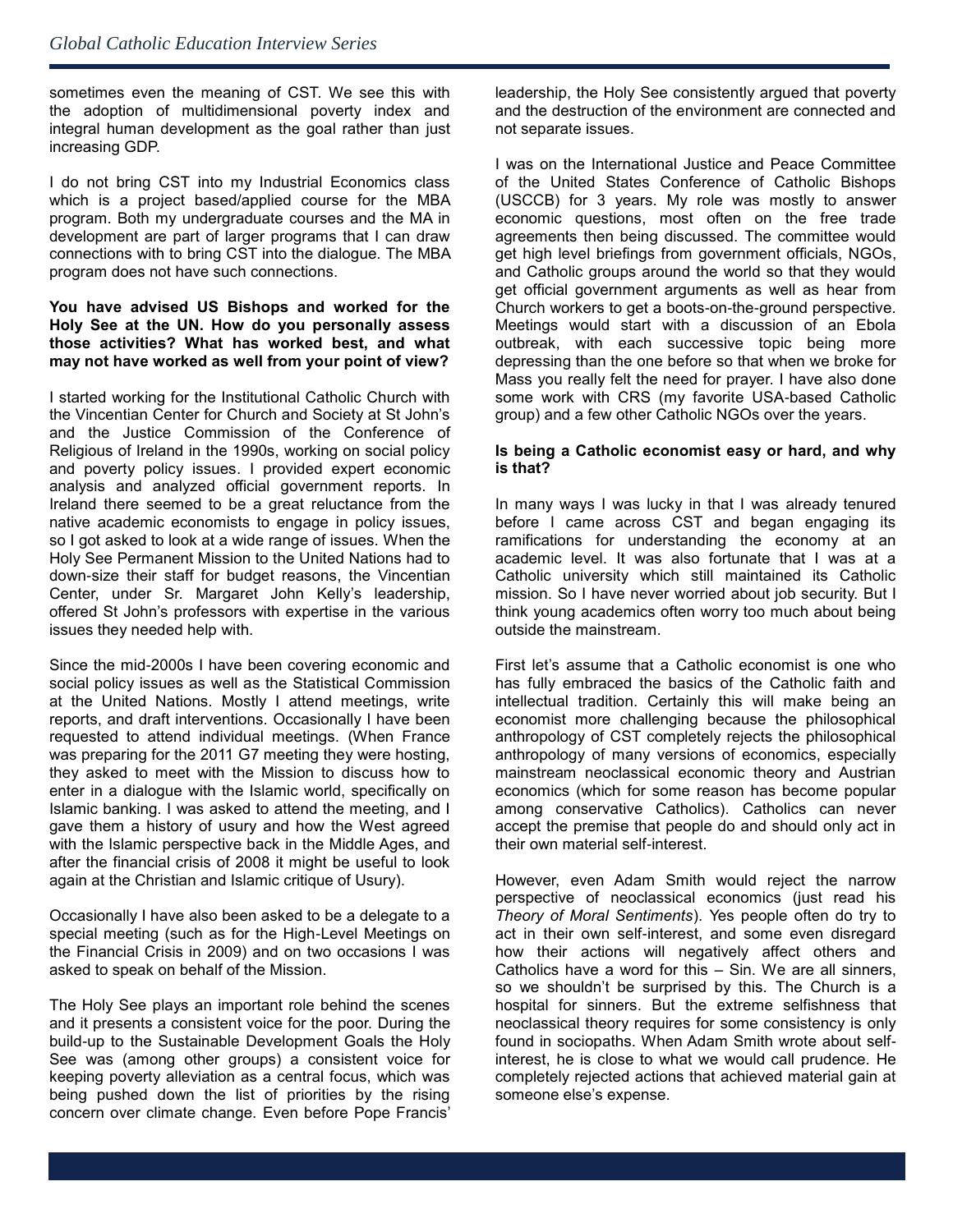sometimes even the meaning of CST. We see this with the adoption of multidimensional poverty index and integral human development as the goal rather than just increasing GDP.

I do not bring CST into my Industrial Economics class which is a project based/applied course for the MBA program. Both my undergraduate courses and the MA in development are part of larger programs that I can draw connections with to bring CST into the dialogue. The MBA program does not have such connections.

#### **You have advised US Bishops and worked for the Holy See at the UN. How do you personally assess those activities? What has worked best, and what may not have worked as well from your point of view?**

I started working for the Institutional Catholic Church with the Vincentian Center for Church and Society at St John's and the Justice Commission of the Conference of Religious of Ireland in the 1990s, working on social policy and poverty policy issues. I provided expert economic analysis and analyzed official government reports. In Ireland there seemed to be a great reluctance from the native academic economists to engage in policy issues, so I got asked to look at a wide range of issues. When the Holy See Permanent Mission to the United Nations had to down-size their staff for budget reasons, the Vincentian Center, under Sr. Margaret John Kelly's leadership, offered St John's professors with expertise in the various issues they needed help with.

Since the mid-2000s I have been covering economic and social policy issues as well as the Statistical Commission at the United Nations. Mostly I attend meetings, write reports, and draft interventions. Occasionally I have been requested to attend individual meetings. (When France was preparing for the 2011 G7 meeting they were hosting, they asked to meet with the Mission to discuss how to enter in a dialogue with the Islamic world, specifically on Islamic banking. I was asked to attend the meeting, and I gave them a history of usury and how the West agreed with the Islamic perspective back in the Middle Ages, and after the financial crisis of 2008 it might be useful to look again at the Christian and Islamic critique of Usury).

Occasionally I have also been asked to be a delegate to a special meeting (such as for the High-Level Meetings on the Financial Crisis in 2009) and on two occasions I was asked to speak on behalf of the Mission.

The Holy See plays an important role behind the scenes and it presents a consistent voice for the poor. During the build-up to the Sustainable Development Goals the Holy See was (among other groups) a consistent voice for keeping poverty alleviation as a central focus, which was being pushed down the list of priorities by the rising concern over climate change. Even before Pope Francis'

leadership, the Holy See consistently argued that poverty and the destruction of the environment are connected and not separate issues.

I was on the International Justice and Peace Committee of the United States Conference of Catholic Bishops (USCCB) for 3 years. My role was mostly to answer economic questions, most often on the free trade agreements then being discussed. The committee would get high level briefings from government officials, NGOs, and Catholic groups around the world so that they would get official government arguments as well as hear from Church workers to get a boots-on-the-ground perspective. Meetings would start with a discussion of an Ebola outbreak, with each successive topic being more depressing than the one before so that when we broke for Mass you really felt the need for prayer. I have also done some work with CRS (my favorite USA-based Catholic group) and a few other Catholic NGOs over the years.

#### **Is being a Catholic economist easy or hard, and why is that?**

In many ways I was lucky in that I was already tenured before I came across CST and began engaging its ramifications for understanding the economy at an academic level. It was also fortunate that I was at a Catholic university which still maintained its Catholic mission. So I have never worried about job security. But I think young academics often worry too much about being outside the mainstream.

First let's assume that a Catholic economist is one who has fully embraced the basics of the Catholic faith and intellectual tradition. Certainly this will make being an economist more challenging because the philosophical anthropology of CST completely rejects the philosophical anthropology of many versions of economics, especially mainstream neoclassical economic theory and Austrian economics (which for some reason has become popular among conservative Catholics). Catholics can never accept the premise that people do and should only act in their own material self-interest.

However, even Adam Smith would reject the narrow perspective of neoclassical economics (just read his *Theory of Moral Sentiments*). Yes people often do try to act in their own self-interest, and some even disregard how their actions will negatively affect others and Catholics have a word for this – Sin. We are all sinners, so we shouldn't be surprised by this. The Church is a hospital for sinners. But the extreme selfishness that neoclassical theory requires for some consistency is only found in sociopaths. When Adam Smith wrote about selfinterest, he is close to what we would call prudence. He completely rejected actions that achieved material gain at someone else's expense.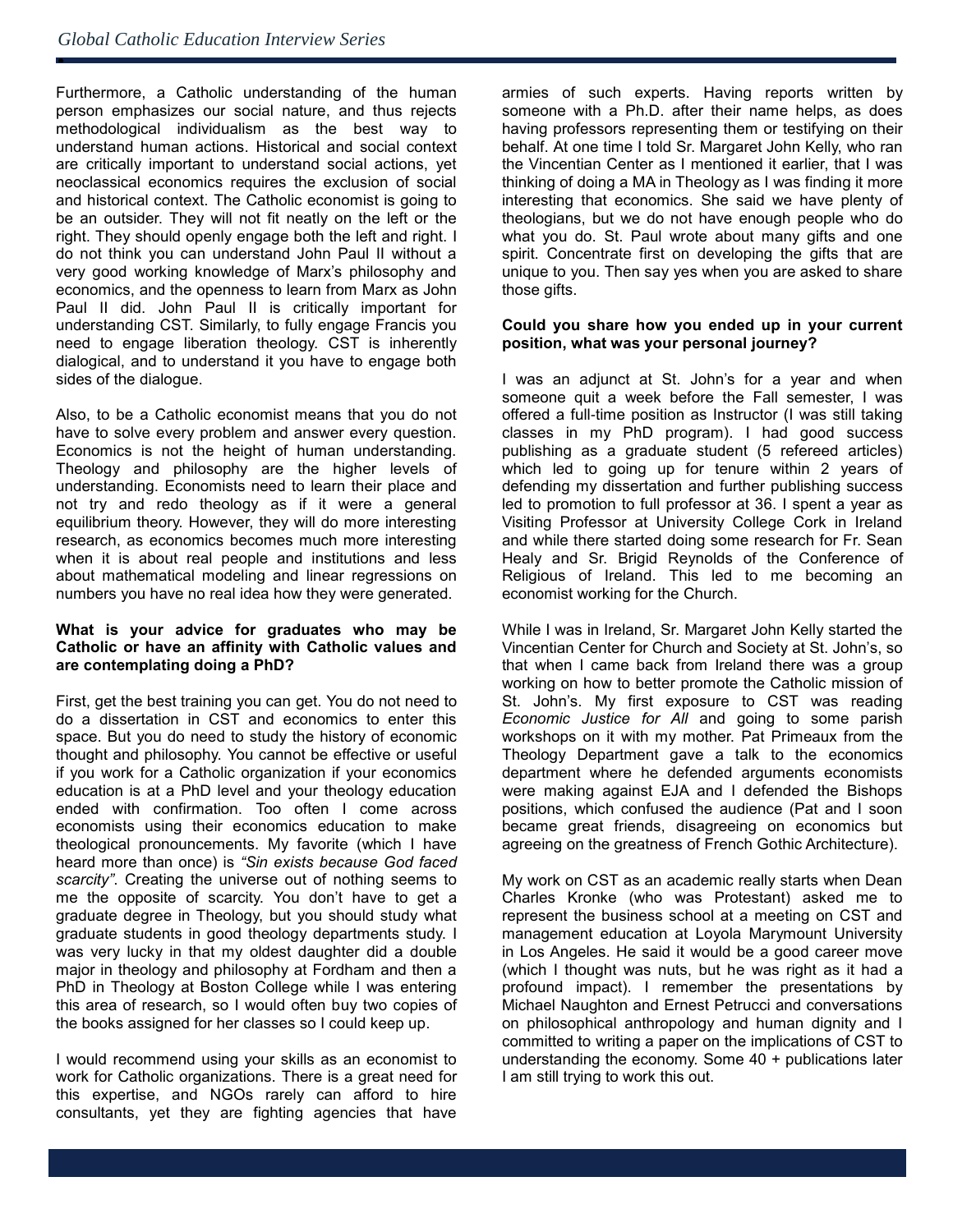ė

Furthermore, a Catholic understanding of the human person emphasizes our social nature, and thus rejects methodological individualism as the best way to understand human actions. Historical and social context are critically important to understand social actions, yet neoclassical economics requires the exclusion of social and historical context. The Catholic economist is going to be an outsider. They will not fit neatly on the left or the right. They should openly engage both the left and right. I do not think you can understand John Paul II without a very good working knowledge of Marx's philosophy and economics, and the openness to learn from Marx as John Paul II did. John Paul II is critically important for understanding CST. Similarly, to fully engage Francis you need to engage liberation theology. CST is inherently dialogical, and to understand it you have to engage both sides of the dialogue.

Also, to be a Catholic economist means that you do not have to solve every problem and answer every question. Economics is not the height of human understanding. Theology and philosophy are the higher levels of understanding. Economists need to learn their place and not try and redo theology as if it were a general equilibrium theory. However, they will do more interesting research, as economics becomes much more interesting when it is about real people and institutions and less about mathematical modeling and linear regressions on numbers you have no real idea how they were generated.

#### **What is your advice for graduates who may be Catholic or have an affinity with Catholic values and are contemplating doing a PhD?**

First, get the best training you can get. You do not need to do a dissertation in CST and economics to enter this space. But you do need to study the history of economic thought and philosophy. You cannot be effective or useful if you work for a Catholic organization if your economics education is at a PhD level and your theology education ended with confirmation. Too often I come across economists using their economics education to make theological pronouncements. My favorite (which I have heard more than once) is *"Sin exists because God faced scarcity"*. Creating the universe out of nothing seems to me the opposite of scarcity. You don't have to get a graduate degree in Theology, but you should study what graduate students in good theology departments study. I was very lucky in that my oldest daughter did a double major in theology and philosophy at Fordham and then a PhD in Theology at Boston College while I was entering this area of research, so I would often buy two copies of the books assigned for her classes so I could keep up.

I would recommend using your skills as an economist to work for Catholic organizations. There is a great need for this expertise, and NGOs rarely can afford to hire consultants, yet they are fighting agencies that have

armies of such experts. Having reports written by someone with a Ph.D. after their name helps, as does having professors representing them or testifying on their behalf. At one time I told Sr. Margaret John Kelly, who ran the Vincentian Center as I mentioned it earlier, that I was thinking of doing a MA in Theology as I was finding it more interesting that economics. She said we have plenty of theologians, but we do not have enough people who do what you do. St. Paul wrote about many gifts and one spirit. Concentrate first on developing the gifts that are unique to you. Then say yes when you are asked to share those gifts.

#### **Could you share how you ended up in your current position, what was your personal journey?**

I was an adjunct at St. John's for a year and when someone quit a week before the Fall semester, I was offered a full-time position as Instructor (I was still taking classes in my PhD program). I had good success publishing as a graduate student (5 refereed articles) which led to going up for tenure within 2 years of defending my dissertation and further publishing success led to promotion to full professor at 36. I spent a year as Visiting Professor at University College Cork in Ireland and while there started doing some research for Fr. Sean Healy and Sr. Brigid Reynolds of the Conference of Religious of Ireland. This led to me becoming an economist working for the Church.

While I was in Ireland, Sr. Margaret John Kelly started the Vincentian Center for Church and Society at St. John's, so that when I came back from Ireland there was a group working on how to better promote the Catholic mission of St. John's. My first exposure to CST was reading *Economic Justice for All* and going to some parish workshops on it with my mother. Pat Primeaux from the Theology Department gave a talk to the economics department where he defended arguments economists were making against EJA and I defended the Bishops positions, which confused the audience (Pat and I soon .<br>became great friends, disagreeing on economics but agreeing on the greatness of French Gothic Architecture).

My work on CST as an academic really starts when Dean Charles Kronke (who was Protestant) asked me to represent the business school at a meeting on CST and management education at Loyola Marymount University in Los Angeles. He said it would be a good career move (which I thought was nuts, but he was right as it had a profound impact). I remember the presentations by Michael Naughton and Ernest Petrucci and conversations on philosophical anthropology and human dignity and I committed to writing a paper on the implications of CST to understanding the economy. Some 40 + publications later I am still trying to work this out.